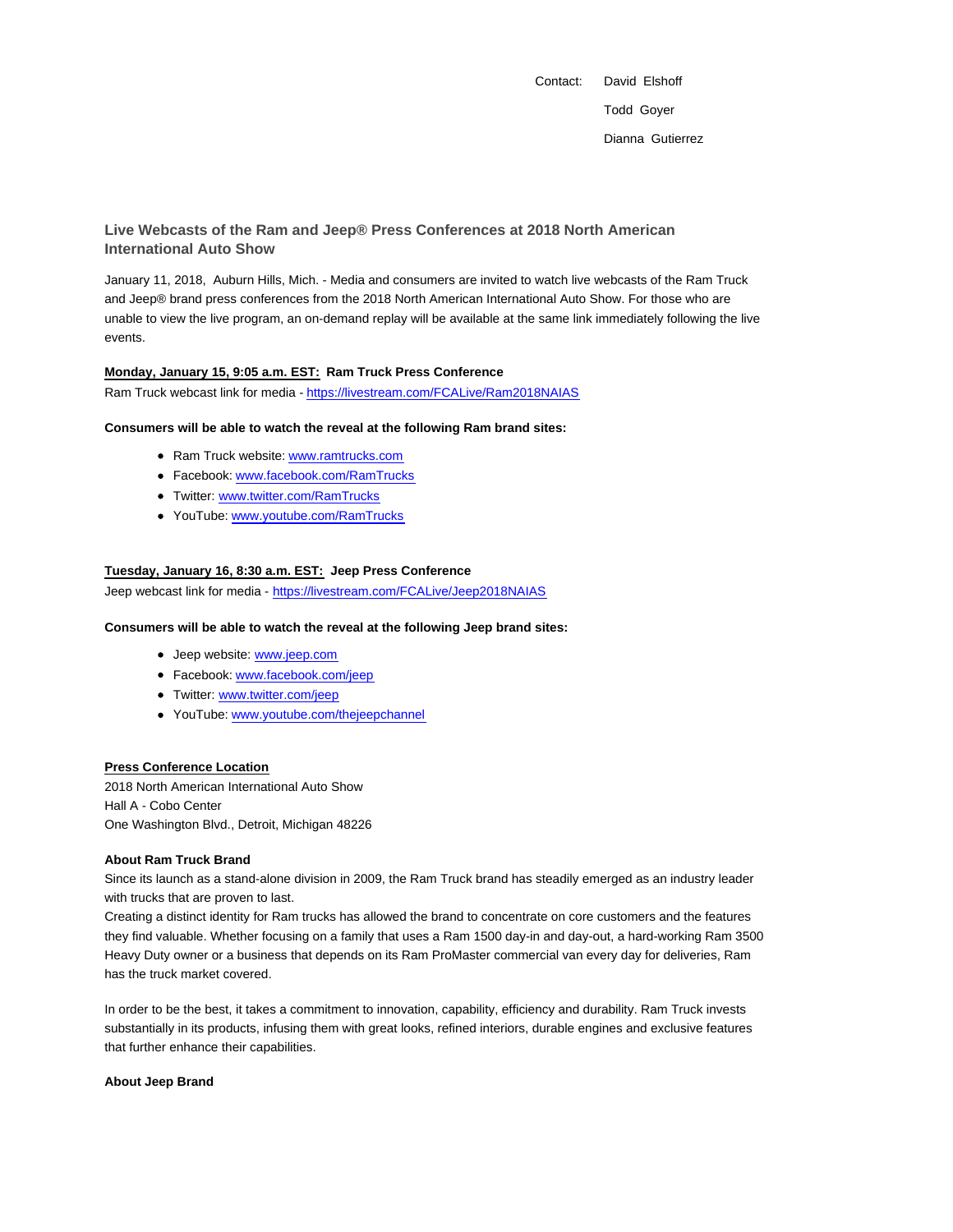Contact: David Elshoff Todd Goyer Dianna Gutierrez

**Live Webcasts of the Ram and Jeep® Press Conferences at 2018 North American International Auto Show**

January 11, 2018, Auburn Hills, Mich. - Media and consumers are invited to watch live webcasts of the Ram Truck and Jeep® brand press conferences from the 2018 North American International Auto Show. For those who are unable to view the live program, an on-demand replay will be available at the same link immediately following the live events.

### **Monday, January 15, 9:05 a.m. EST: Ram Truck Press Conference**

Ram Truck webcast link for media - https://livestream.com/FCALive/Ram2018NAIAS

## **Consumers will be able to watch the reveal at the following Ram brand sites:**

- Ram Truck website: www.ramtrucks.com
- Facebook: www.facebook.com/RamTrucks
- Twitter: www.twitter.com/RamTrucks
- YouTube: www.youtube.com/RamTrucks

### **Tuesday, January 16, 8:30 a.m. EST: Jeep Press Conference**

Jeep webcast link for media - https://livestream.com/FCALive/Jeep2018NAIAS

### **Consumers will be able to watch the reveal at the following Jeep brand sites:**

- Jeep website: www.jeep.com
- Facebook: www.facebook.com/jeep
- Twitter: www.twitter.com/jeep
- YouTube: www.youtube.com/thejeepchannel

### **Press Conference Location**

2018 North American International Auto Show Hall A - Cobo Center One Washington Blvd., Detroit, Michigan 48226

### **About Ram Truck Brand**

Since its launch as a stand-alone division in 2009, the Ram Truck brand has steadily emerged as an industry leader with trucks that are proven to last.

Creating a distinct identity for Ram trucks has allowed the brand to concentrate on core customers and the features they find valuable. Whether focusing on a family that uses a Ram 1500 day-in and day-out, a hard-working Ram 3500 Heavy Duty owner or a business that depends on its Ram ProMaster commercial van every day for deliveries, Ram has the truck market covered.

In order to be the best, it takes a commitment to innovation, capability, efficiency and durability. Ram Truck invests substantially in its products, infusing them with great looks, refined interiors, durable engines and exclusive features that further enhance their capabilities.

### **About Jeep Brand**